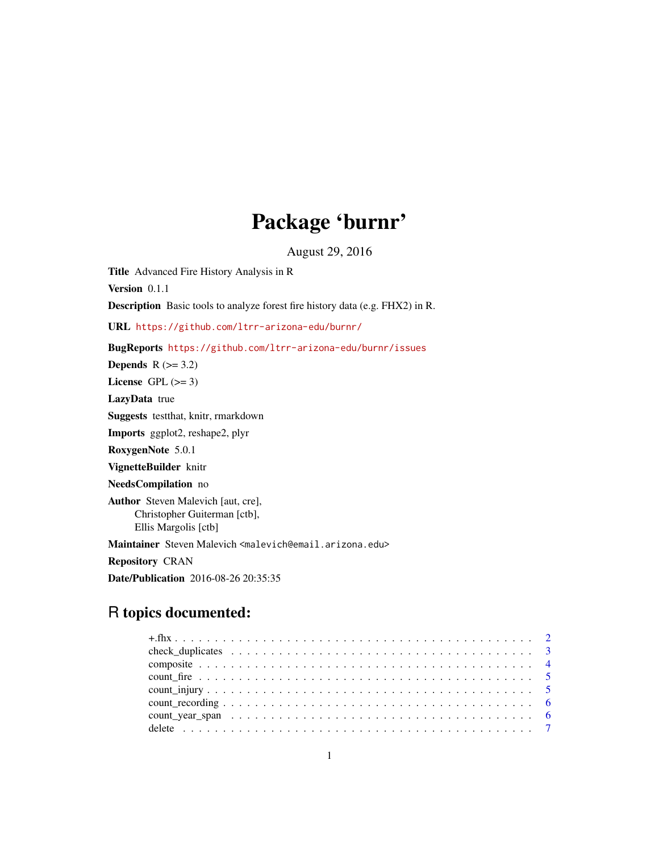# Package 'burnr'

August 29, 2016

Title Advanced Fire History Analysis in R

Version 0.1.1

Description Basic tools to analyze forest fire history data (e.g. FHX2) in R.

URL <https://github.com/ltrr-arizona-edu/burnr/>

BugReports <https://github.com/ltrr-arizona-edu/burnr/issues>

Depends  $R$  ( $>= 3.2$ )

License GPL  $(>= 3)$ 

LazyData true

Suggests testthat, knitr, rmarkdown

Imports ggplot2, reshape2, plyr

RoxygenNote 5.0.1

VignetteBuilder knitr

NeedsCompilation no

Author Steven Malevich [aut, cre], Christopher Guiterman [ctb], Ellis Margolis [ctb]

Maintainer Steven Malevich <malevich@email.arizona.edu>

Repository CRAN

Date/Publication 2016-08-26 20:35:35

# R topics documented: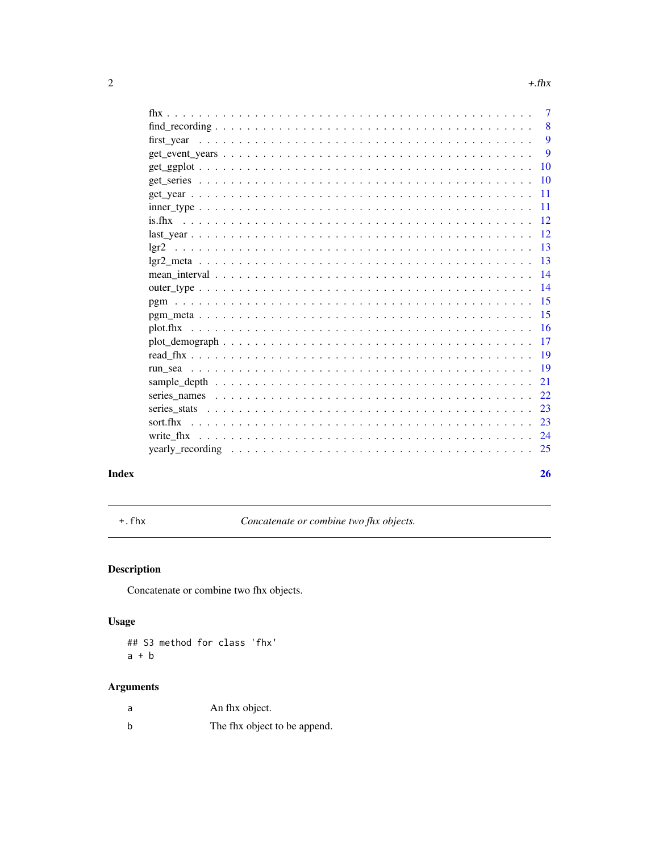<span id="page-1-0"></span>

|                                                                                                       | $\overline{7}$ |
|-------------------------------------------------------------------------------------------------------|----------------|
|                                                                                                       | 8              |
| first vear                                                                                            | 9              |
|                                                                                                       | 9              |
|                                                                                                       | 10             |
|                                                                                                       | 10             |
|                                                                                                       | 11             |
|                                                                                                       | 11             |
| is fhx                                                                                                | 12             |
|                                                                                                       | 12             |
|                                                                                                       | 13             |
|                                                                                                       | 13             |
|                                                                                                       | 14             |
|                                                                                                       | 14             |
|                                                                                                       | 15             |
|                                                                                                       | 15             |
|                                                                                                       | 16             |
| $plot\_demograph \ldots \ldots \ldots \ldots \ldots \ldots \ldots \ldots \ldots \ldots \ldots \ldots$ | 17             |
|                                                                                                       | 19             |
|                                                                                                       | 19             |
|                                                                                                       | 21             |
|                                                                                                       |                |
|                                                                                                       | 22             |
|                                                                                                       | 23             |
| sort fhx                                                                                              | 23             |
| write fhx                                                                                             | 24             |
|                                                                                                       | 25             |
|                                                                                                       |                |
|                                                                                                       | 26             |

# **Index**

 $+$ . fhx

Concatenate or combine two fhx objects.

# Description

Concatenate or combine two fhx objects.

# **Usage**

## S3 method for class 'fhx'  $a + b$ 

# **Arguments**

| a | An thx object.               |
|---|------------------------------|
| b | The fhx object to be append. |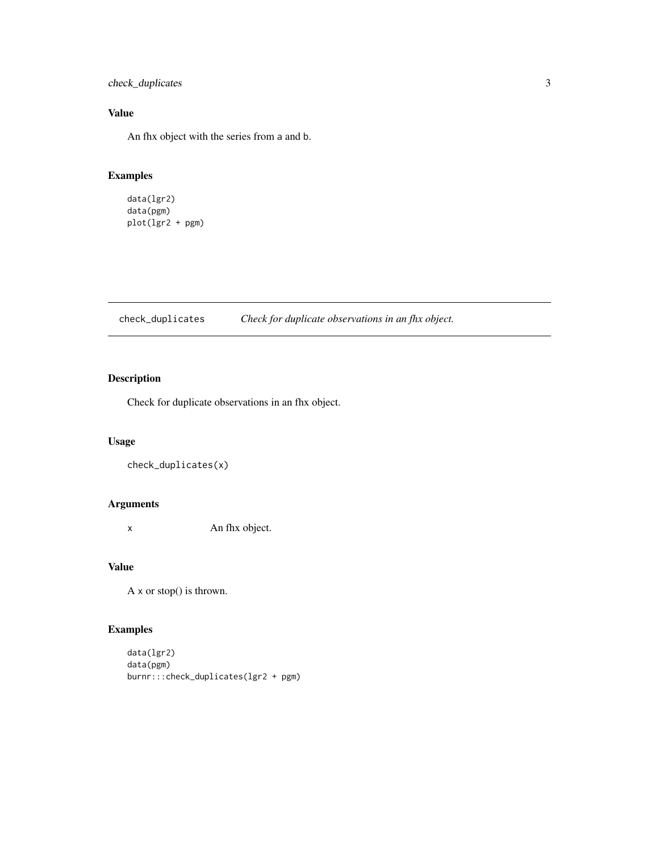<span id="page-2-0"></span>check\_duplicates 3

# Value

An fhx object with the series from a and b.

# Examples

data(lgr2) data(pgm) plot(lgr2 + pgm)

check\_duplicates *Check for duplicate observations in an fhx object.*

### Description

Check for duplicate observations in an fhx object.

### Usage

```
check_duplicates(x)
```
# Arguments

x An fhx object.

### Value

A x or stop() is thrown.

```
data(lgr2)
data(pgm)
burnr:::check_duplicates(lgr2 + pgm)
```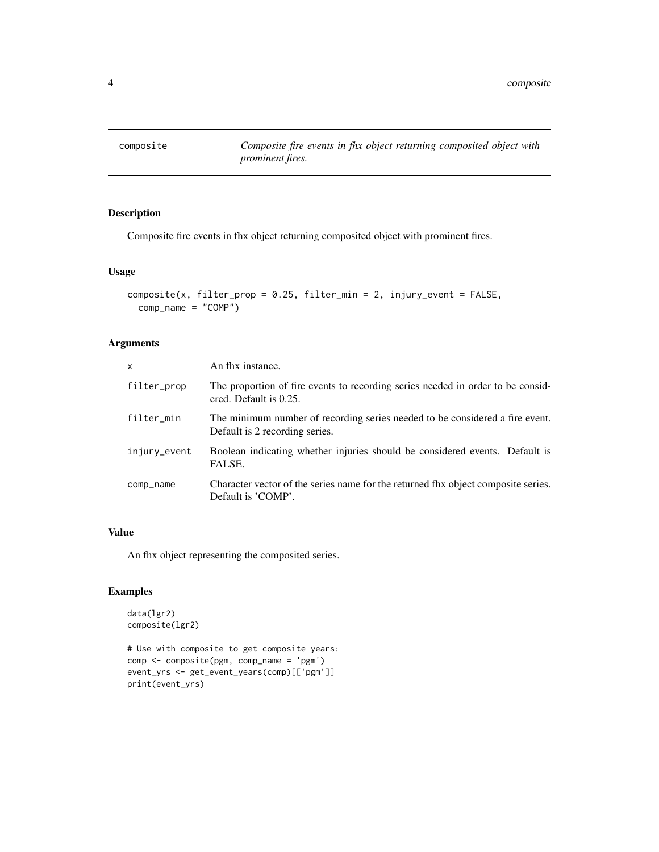<span id="page-3-0"></span>

Composite fire events in fhx object returning composited object with prominent fires.

### Usage

```
composite(x, filter_prop = 0.25, filter_min = 2, injury_event = FALSE,
 comp_name = "COMP")
```
### Arguments

| $\mathsf{x}$ | An fhx instance.                                                                                               |
|--------------|----------------------------------------------------------------------------------------------------------------|
| filter_prop  | The proportion of fire events to recording series needed in order to be consid-<br>ered. Default is 0.25.      |
| filter_min   | The minimum number of recording series needed to be considered a fire event.<br>Default is 2 recording series. |
| injury_event | Boolean indicating whether injuries should be considered events. Default is<br>FALSE.                          |
| comp_name    | Character vector of the series name for the returned fhx object composite series.<br>Default is 'COMP'.        |

# Value

An fhx object representing the composited series.

```
data(lgr2)
composite(lgr2)
```

```
# Use with composite to get composite years:
comp <- composite(pgm, comp_name = 'pgm')
event_yrs <- get_event_years(comp)[['pgm']]
print(event_yrs)
```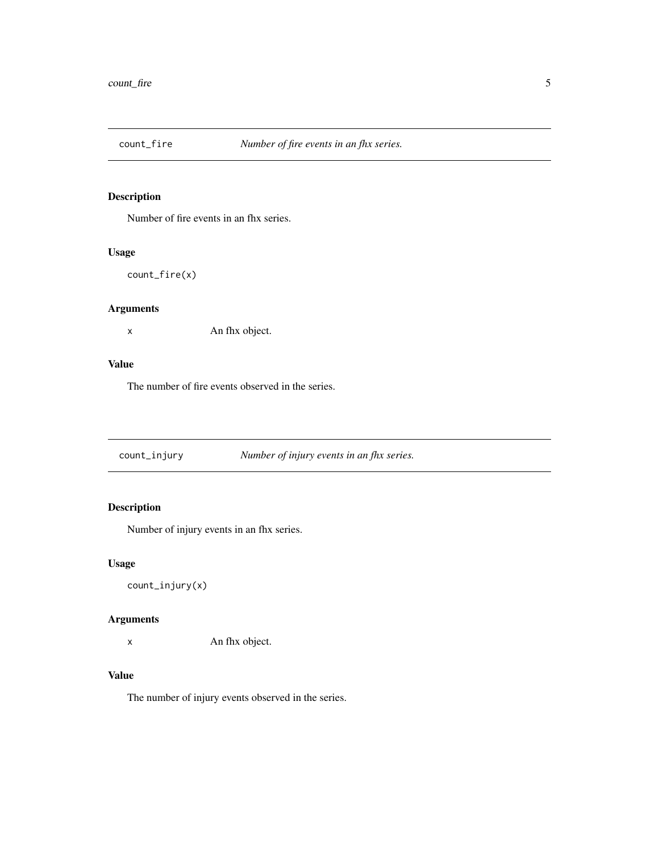<span id="page-4-0"></span>

Number of fire events in an fhx series.

### Usage

count\_fire(x)

# Arguments

x An fhx object.

### Value

The number of fire events observed in the series.

count\_injury *Number of injury events in an fhx series.*

# Description

Number of injury events in an fhx series.

### Usage

count\_injury(x)

### Arguments

x An fhx object.

### Value

The number of injury events observed in the series.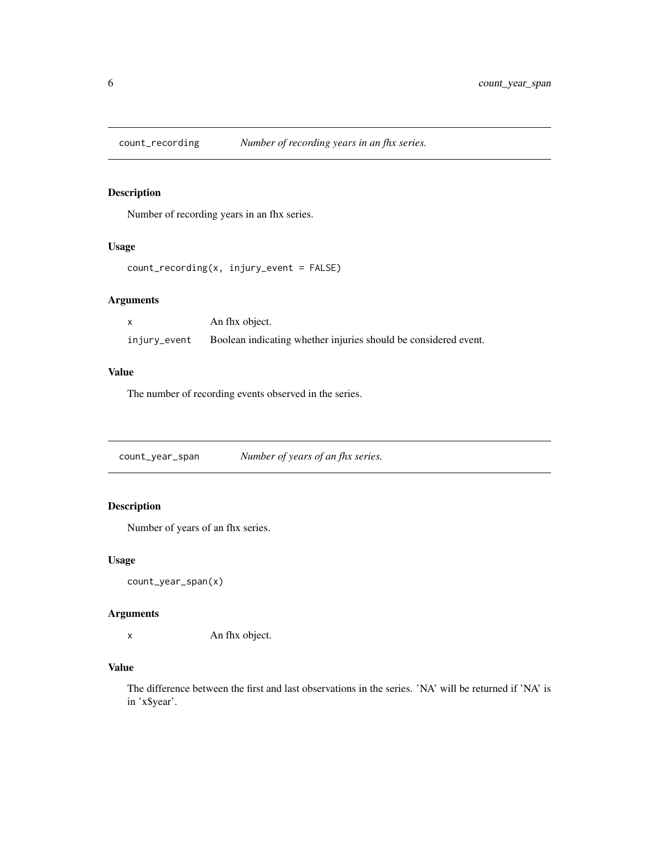<span id="page-5-0"></span>

Number of recording years in an fhx series.

### Usage

```
count_recording(x, injury_event = FALSE)
```
# Arguments

|              | An fhx object.                                                  |
|--------------|-----------------------------------------------------------------|
| injury_event | Boolean indicating whether injuries should be considered event. |

# Value

The number of recording events observed in the series.

count\_year\_span *Number of years of an fhx series.*

# Description

Number of years of an fhx series.

### Usage

```
count_year_span(x)
```
### Arguments

x An fhx object.

# Value

The difference between the first and last observations in the series. 'NA' will be returned if 'NA' is in 'x\$year'.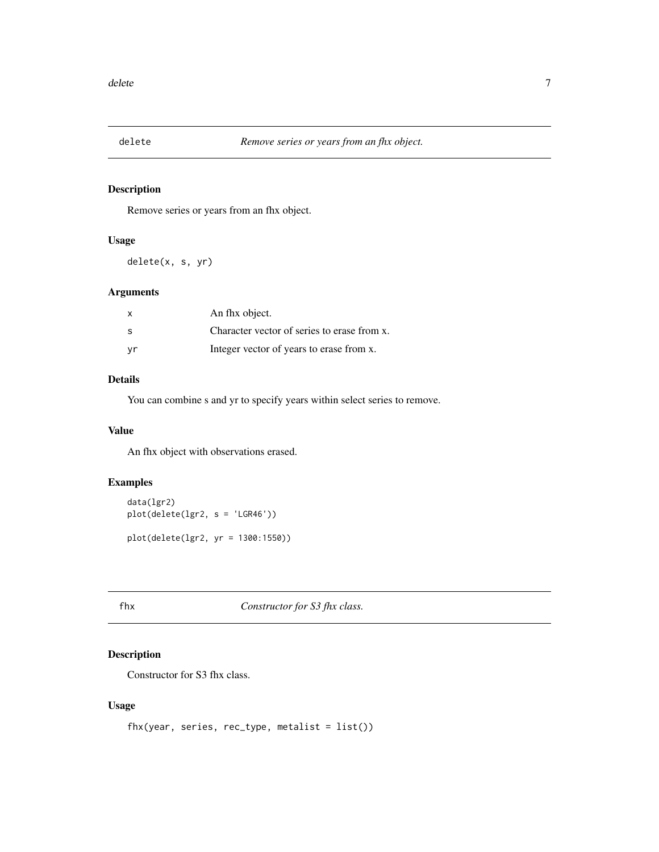<span id="page-6-0"></span>

Remove series or years from an fhx object.

#### Usage

delete(x, s, yr)

### Arguments

| $\mathsf{x}$ | An fhx object.                              |
|--------------|---------------------------------------------|
| - S          | Character vector of series to erase from x. |
| vr           | Integer vector of years to erase from x.    |

# Details

You can combine s and yr to specify years within select series to remove.

#### Value

An fhx object with observations erased.

### Examples

data(lgr2) plot(delete(lgr2, s = 'LGR46')) plot(delete(lgr2, yr = 1300:1550))

# fhx *Constructor for S3 fhx class.*

### Description

Constructor for S3 fhx class.

### Usage

```
fhx(year, series, rec_type, metalist = list())
```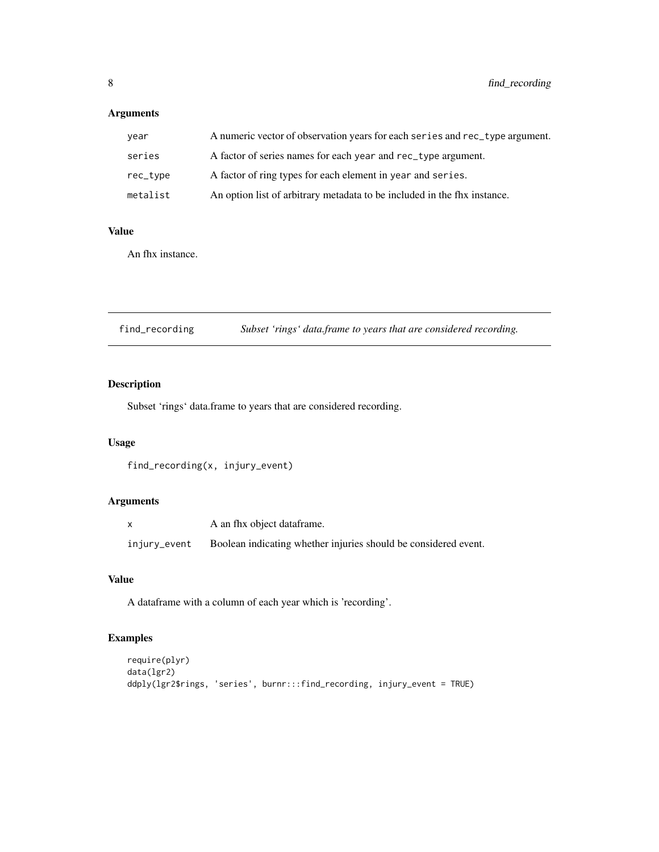# <span id="page-7-0"></span>Arguments

| year     | A numeric vector of observation years for each series and rec_type argument. |
|----------|------------------------------------------------------------------------------|
| series   | A factor of series names for each year and rec_type argument.                |
| rec_type | A factor of ring types for each element in year and series.                  |
| metalist | An option list of arbitrary metadata to be included in the fix instance.     |

# Value

An fhx instance.

| find_recording |  |  | Subset 'rings' data.frame to years that are considered recording. |  |  |  |  |
|----------------|--|--|-------------------------------------------------------------------|--|--|--|--|
|----------------|--|--|-------------------------------------------------------------------|--|--|--|--|

# Description

Subset 'rings' data.frame to years that are considered recording.

### Usage

```
find_recording(x, injury_event)
```
# Arguments

|              | A an fhx object dataframe.                                      |
|--------------|-----------------------------------------------------------------|
| injury_event | Boolean indicating whether injuries should be considered event. |

# Value

A dataframe with a column of each year which is 'recording'.

```
require(plyr)
data(lgr2)
ddply(lgr2$rings, 'series', burnr:::find_recording, injury_event = TRUE)
```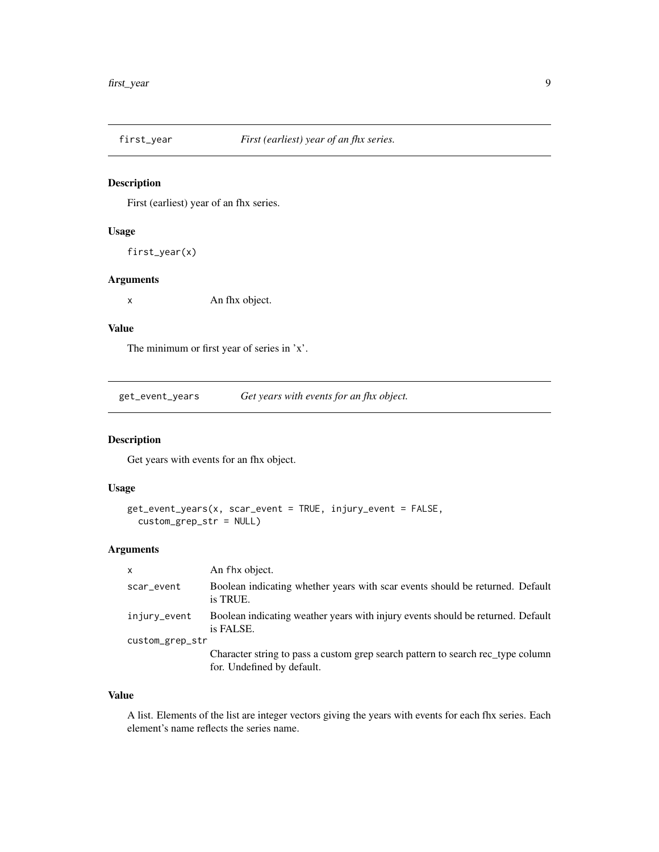<span id="page-8-0"></span>

First (earliest) year of an fhx series.

### Usage

first\_year(x)

### Arguments

x An fhx object.

# Value

The minimum or first year of series in 'x'.

get\_event\_years *Get years with events for an fhx object.*

### Description

Get years with events for an fhx object.

#### Usage

```
get_event_years(x, scar_event = TRUE, injury_event = FALSE,
  custom_grep_str = NULL)
```
# Arguments

| An fhx object.<br>x                                                                                           |  |
|---------------------------------------------------------------------------------------------------------------|--|
| Boolean indicating whether years with scar events should be returned. Default<br>scar_event<br>is TRUE.       |  |
| Boolean indicating weather years with injury events should be returned. Default<br>injury_event<br>is FALSE.  |  |
| custom_grep_str                                                                                               |  |
| Character string to pass a custom grep search pattern to search rec type column<br>for. Undefined by default. |  |

#### Value

A list. Elements of the list are integer vectors giving the years with events for each fhx series. Each element's name reflects the series name.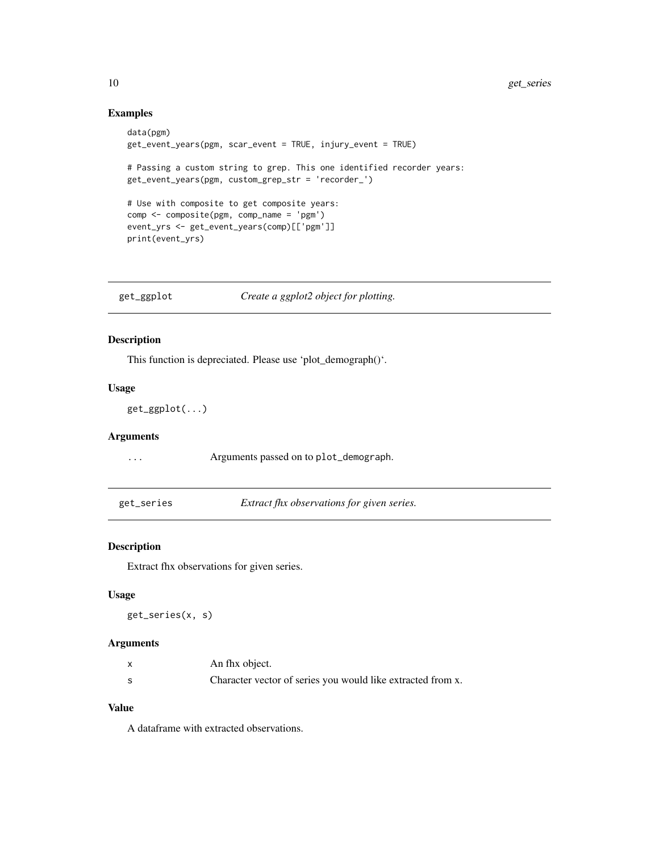# Examples

```
data(pgm)
get_event_years(pgm, scar_event = TRUE, injury_event = TRUE)
# Passing a custom string to grep. This one identified recorder years:
get_event_years(pgm, custom_grep_str = 'recorder_')
# Use with composite to get composite years:
comp <- composite(pgm, comp_name = 'pgm')
event_yrs <- get_event_years(comp)[['pgm']]
print(event_yrs)
```
get\_ggplot *Create a ggplot2 object for plotting.*

### Description

This function is depreciated. Please use 'plot\_demograph()'.

### Usage

get\_ggplot(...)

#### Arguments

... Arguments passed on to plot\_demograph.

get\_series *Extract fhx observations for given series.*

### Description

Extract fhx observations for given series.

# Usage

get\_series(x, s)

#### Arguments

| An fhx object.                                              |
|-------------------------------------------------------------|
| Character vector of series you would like extracted from x. |

### Value

A dataframe with extracted observations.

<span id="page-9-0"></span>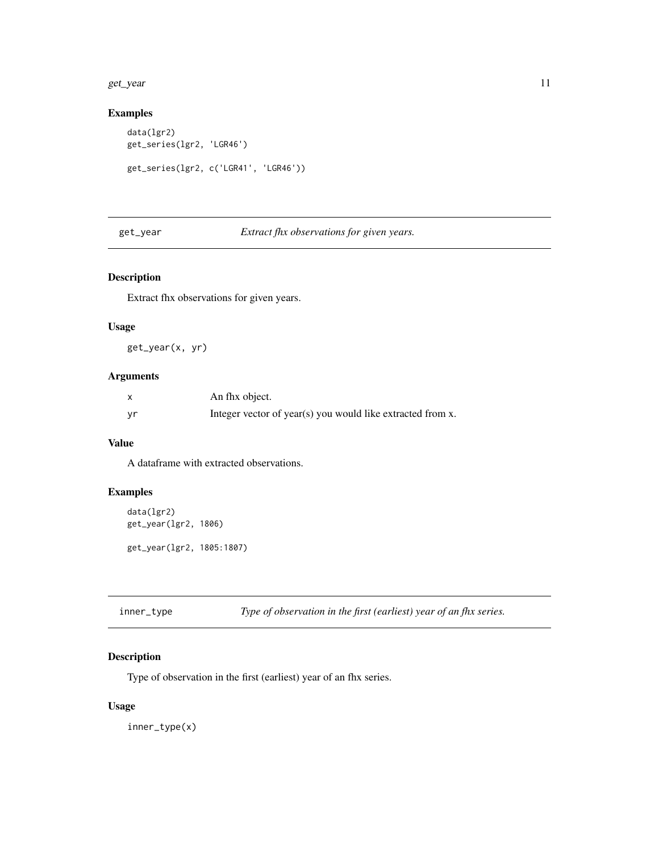#### <span id="page-10-0"></span>get\_year 11

### Examples

```
data(lgr2)
get_series(lgr2, 'LGR46')
get_series(lgr2, c('LGR41', 'LGR46'))
```
get\_year *Extract fhx observations for given years.*

### Description

Extract fhx observations for given years.

### Usage

get\_year(x, yr)

### Arguments

|    | An fhx object.                                             |
|----|------------------------------------------------------------|
| yr | Integer vector of year(s) you would like extracted from x. |

### Value

A dataframe with extracted observations.

### Examples

```
data(lgr2)
get_year(lgr2, 1806)
get_year(lgr2, 1805:1807)
```
inner\_type *Type of observation in the first (earliest) year of an fhx series.*

### Description

Type of observation in the first (earliest) year of an fhx series.

### Usage

inner\_type(x)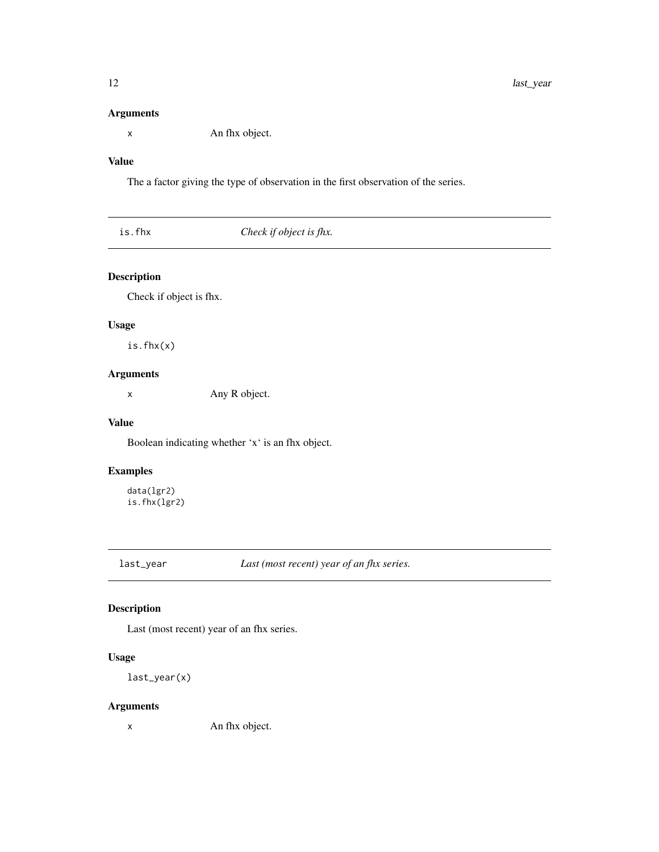### <span id="page-11-0"></span>Arguments

x An fhx object.

# Value

The a factor giving the type of observation in the first observation of the series.

| Check if object is fhx.<br>is.fhx |
|-----------------------------------|
|-----------------------------------|

# Description

Check if object is fhx.

# Usage

is.fhx(x)

# Arguments

x Any R object.

### Value

Boolean indicating whether 'x' is an fhx object.

### Examples

data(lgr2) is.fhx(lgr2)

last\_year *Last (most recent) year of an fhx series.*

# Description

Last (most recent) year of an fhx series.

# Usage

last\_year(x)

### Arguments

x An fhx object.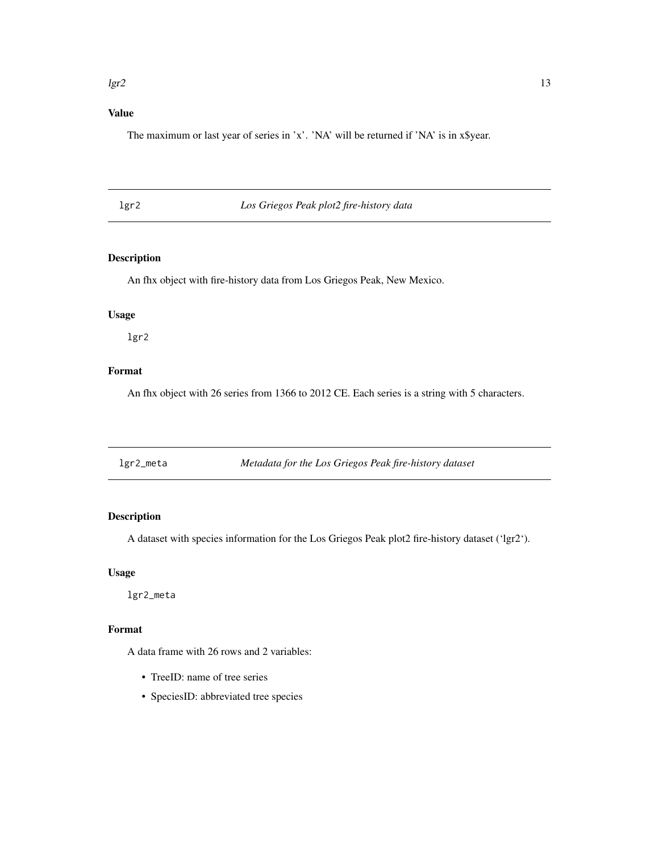#### <span id="page-12-0"></span> $\lg$ r2 13

# Value

The maximum or last year of series in 'x'. 'NA' will be returned if 'NA' is in x\$year.

lgr2 *Los Griegos Peak plot2 fire-history data*

### Description

An fhx object with fire-history data from Los Griegos Peak, New Mexico.

# Usage

lgr2

# Format

An fhx object with 26 series from 1366 to 2012 CE. Each series is a string with 5 characters.

| Metadata for the Los Griegos Peak fire-history dataset<br>lgr2_meta |  |
|---------------------------------------------------------------------|--|
|---------------------------------------------------------------------|--|

# Description

A dataset with species information for the Los Griegos Peak plot2 fire-history dataset ('lgr2').

# Usage

lgr2\_meta

# Format

A data frame with 26 rows and 2 variables:

- TreeID: name of tree series
- SpeciesID: abbreviated tree species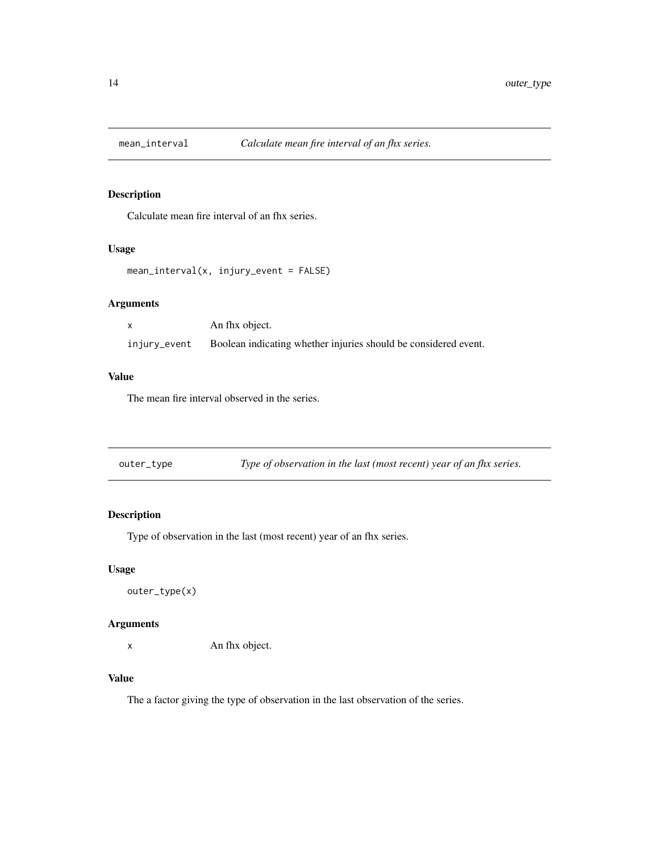<span id="page-13-0"></span>

Calculate mean fire interval of an fhx series.

### Usage

```
mean_interval(x, injury_event = FALSE)
```
# Arguments

|              | An fhx object.                                                  |
|--------------|-----------------------------------------------------------------|
| injury_event | Boolean indicating whether injuries should be considered event. |

# Value

The mean fire interval observed in the series.

| outer_type | Type of observation in the last (most recent) year of an fhx series. |  |
|------------|----------------------------------------------------------------------|--|
|------------|----------------------------------------------------------------------|--|

# Description

Type of observation in the last (most recent) year of an fhx series.

### Usage

```
outer_type(x)
```
### Arguments

x An fhx object.

### Value

The a factor giving the type of observation in the last observation of the series.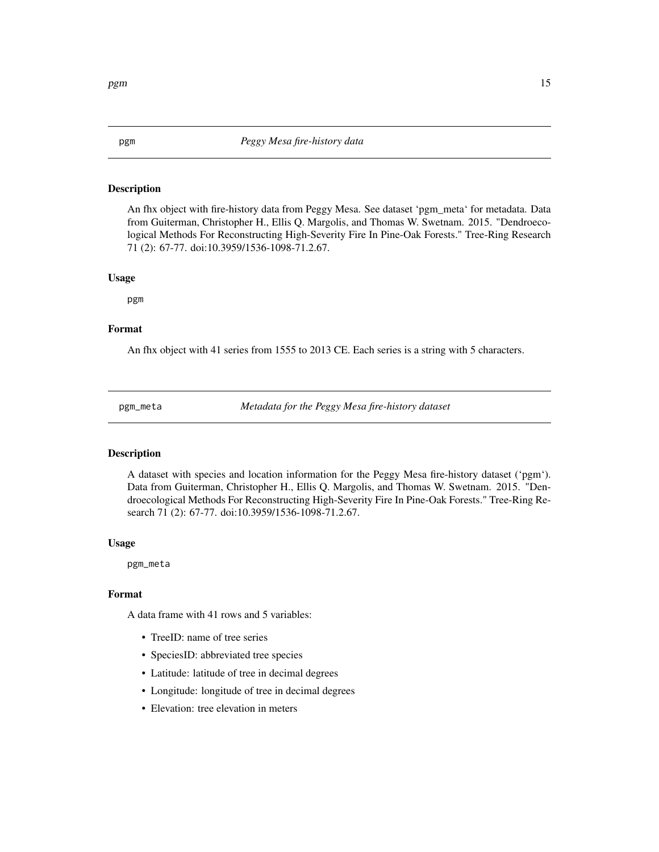An fhx object with fire-history data from Peggy Mesa. See dataset 'pgm\_meta' for metadata. Data from Guiterman, Christopher H., Ellis Q. Margolis, and Thomas W. Swetnam. 2015. "Dendroecological Methods For Reconstructing High-Severity Fire In Pine-Oak Forests." Tree-Ring Research 71 (2): 67-77. doi:10.3959/1536-1098-71.2.67.

#### Usage

pgm

#### Format

An fhx object with 41 series from 1555 to 2013 CE. Each series is a string with 5 characters.

pgm\_meta *Metadata for the Peggy Mesa fire-history dataset*

#### Description

A dataset with species and location information for the Peggy Mesa fire-history dataset ('pgm'). Data from Guiterman, Christopher H., Ellis Q. Margolis, and Thomas W. Swetnam. 2015. "Dendroecological Methods For Reconstructing High-Severity Fire In Pine-Oak Forests." Tree-Ring Research 71 (2): 67-77. doi:10.3959/1536-1098-71.2.67.

#### Usage

pgm\_meta

### Format

A data frame with 41 rows and 5 variables:

- TreeID: name of tree series
- SpeciesID: abbreviated tree species
- Latitude: latitude of tree in decimal degrees
- Longitude: longitude of tree in decimal degrees
- Elevation: tree elevation in meters

<span id="page-14-0"></span>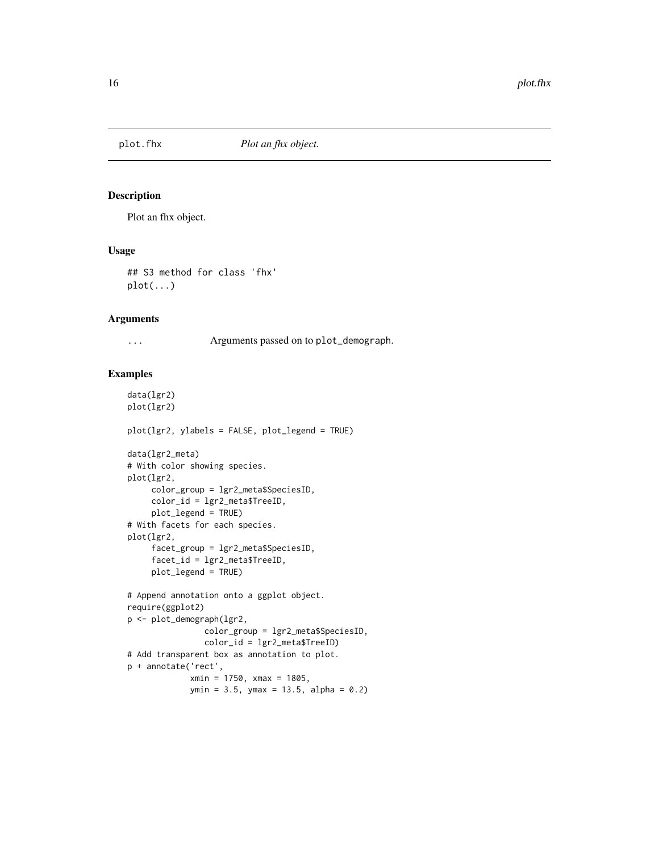<span id="page-15-0"></span>

Plot an fhx object.

#### Usage

## S3 method for class 'fhx'  $plot(...)$ 

### Arguments

... Arguments passed on to plot\_demograph.

```
data(lgr2)
plot(lgr2)
plot(lgr2, ylabels = FALSE, plot_legend = TRUE)
data(lgr2_meta)
# With color showing species.
plot(lgr2,
    color_group = lgr2_meta$SpeciesID,
    color_id = lgr2_meta$TreeID,
     plot_legend = TRUE)
# With facets for each species.
plot(lgr2,
     facet_group = lgr2_meta$SpeciesID,
    facet_id = lgr2_meta$TreeID,
    plot_legend = TRUE)
# Append annotation onto a ggplot object.
require(ggplot2)
p <- plot_demograph(lgr2,
                color_group = lgr2_meta$SpeciesID,
                color_id = lgr2_meta$TreeID)
# Add transparent box as annotation to plot.
p + annotate('rect',
             xmin = 1750, xmax = 1805,
             ymin = 3.5, ymax = 13.5, alpha = 0.2
```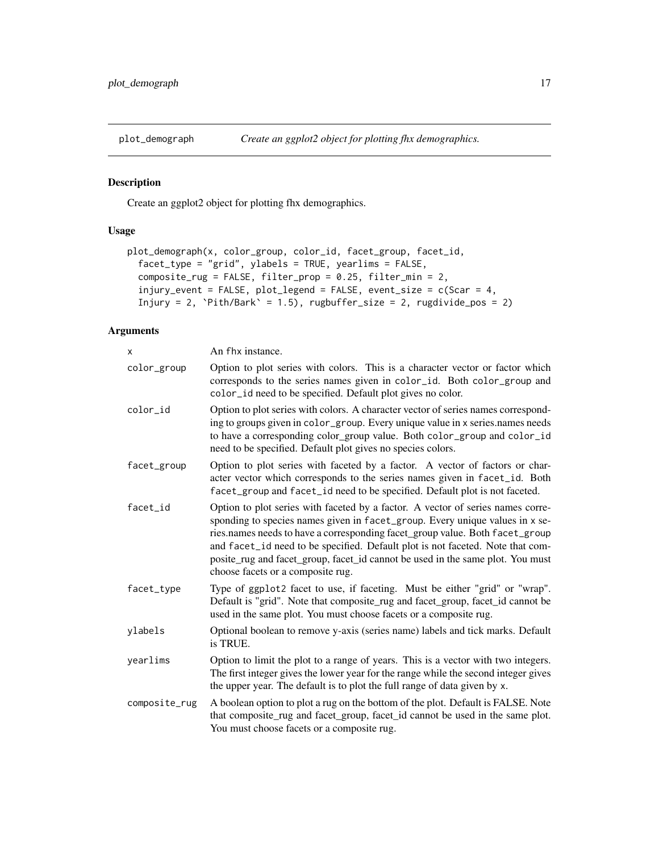<span id="page-16-0"></span>

Create an ggplot2 object for plotting fhx demographics.

# Usage

```
plot_demograph(x, color_group, color_id, facet_group, facet_id,
  facet_type = "grid", ylabels = TRUE, yearlims = FALSE,
  composite_rug = FALSE, filter_prop = 0.25, filter_min = 2,
 injury_event = FALSE, plot_legend = FALSE, event_size = c(Scar = 4,
  Injury = 2, \Phiith/Bark' = 1.5), rugbuffer_size = 2, rugdivide_pos = 2)
```
### Arguments

| X             | An fhx instance.                                                                                                                                                                                                                                                                                                                                                                                                                                         |
|---------------|----------------------------------------------------------------------------------------------------------------------------------------------------------------------------------------------------------------------------------------------------------------------------------------------------------------------------------------------------------------------------------------------------------------------------------------------------------|
| color_group   | Option to plot series with colors. This is a character vector or factor which<br>corresponds to the series names given in color_id. Both color_group and<br>color_id need to be specified. Default plot gives no color.                                                                                                                                                                                                                                  |
| color id      | Option to plot series with colors. A character vector of series names correspond-<br>ing to groups given in color_group. Every unique value in x series.names needs<br>to have a corresponding color_group value. Both color_group and color_id<br>need to be specified. Default plot gives no species colors.                                                                                                                                           |
| facet_group   | Option to plot series with faceted by a factor. A vector of factors or char-<br>acter vector which corresponds to the series names given in facet_id. Both<br>facet_group and facet_id need to be specified. Default plot is not faceted.                                                                                                                                                                                                                |
| facet_id      | Option to plot series with faceted by a factor. A vector of series names corre-<br>sponding to species names given in facet_group. Every unique values in x se-<br>ries.names needs to have a corresponding facet_group value. Both facet_group<br>and facet_id need to be specified. Default plot is not faceted. Note that com-<br>posite_rug and facet_group, facet_id cannot be used in the same plot. You must<br>choose facets or a composite rug. |
| facet_type    | Type of ggplot2 facet to use, if faceting. Must be either "grid" or "wrap".<br>Default is "grid". Note that composite_rug and facet_group, facet_id cannot be<br>used in the same plot. You must choose facets or a composite rug.                                                                                                                                                                                                                       |
| ylabels       | Optional boolean to remove y-axis (series name) labels and tick marks. Default<br>is TRUE.                                                                                                                                                                                                                                                                                                                                                               |
| yearlims      | Option to limit the plot to a range of years. This is a vector with two integers.<br>The first integer gives the lower year for the range while the second integer gives<br>the upper year. The default is to plot the full range of data given by x.                                                                                                                                                                                                    |
| composite_rug | A boolean option to plot a rug on the bottom of the plot. Default is FALSE. Note<br>that composite_rug and facet_group, facet_id cannot be used in the same plot.<br>You must choose facets or a composite rug.                                                                                                                                                                                                                                          |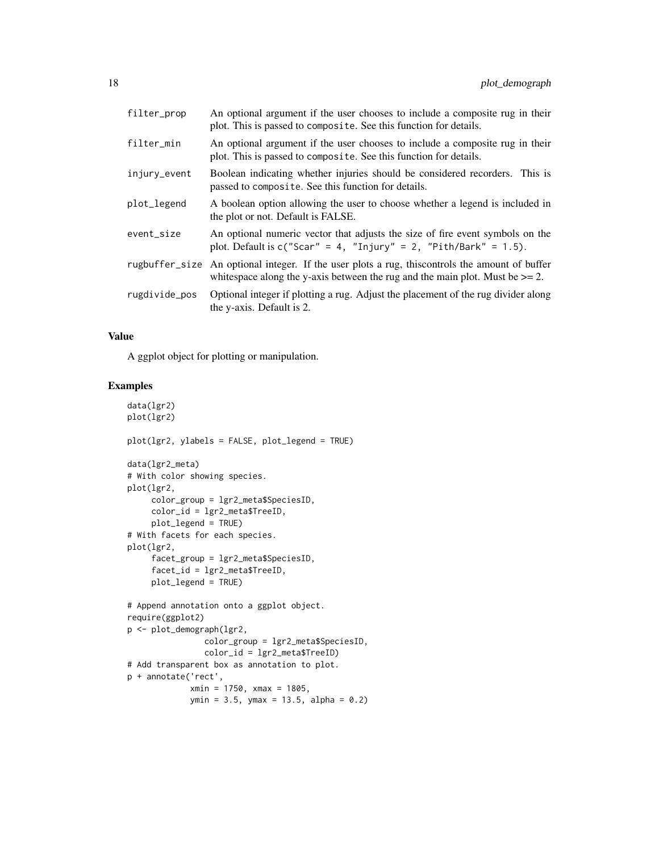| filter_prop    | An optional argument if the user chooses to include a composite rug in their<br>plot. This is passed to composite. See this function for details.                   |
|----------------|---------------------------------------------------------------------------------------------------------------------------------------------------------------------|
| filter_min     | An optional argument if the user chooses to include a composite rug in their<br>plot. This is passed to composite. See this function for details.                   |
| injury_event   | Boolean indicating whether injuries should be considered recorders. This is<br>passed to composite. See this function for details.                                  |
| plot_legend    | A boolean option allowing the user to choose whether a legend is included in<br>the plot or not. Default is FALSE.                                                  |
| event_size     | An optional numeric vector that adjusts the size of fire event symbols on the<br>plot. Default is $c("Scar" = 4, "Injury" = 2, "Pith/Bark" = 1.5)$ .                |
| rugbuffer_size | An optional integer. If the user plots a rug, this controls the amount of buffer<br>whitespace along the y-axis between the rug and the main plot. Must be $>= 2$ . |
| rugdivide_pos  | Optional integer if plotting a rug. Adjust the placement of the rug divider along<br>the y-axis. Default is 2.                                                      |

### Value

A ggplot object for plotting or manipulation.

```
data(lgr2)
plot(lgr2)
plot(lgr2, ylabels = FALSE, plot_legend = TRUE)
data(lgr2_meta)
# With color showing species.
plot(lgr2,
     color_group = lgr2_meta$SpeciesID,
     color_id = lgr2_meta$TreeID,
     plot_legend = TRUE)
# With facets for each species.
plot(lgr2,
     facet_group = lgr2_meta$SpeciesID,
     facet_id = lgr2_meta$TreeID,
     plot_legend = TRUE)
# Append annotation onto a ggplot object.
require(ggplot2)
p <- plot_demograph(lgr2,
                color_group = lgr2_meta$SpeciesID,
                color_id = lgr2_meta$TreeID)
# Add transparent box as annotation to plot.
p + annotate('rect',
             xmin = 1750, xmax = 1805,
             ymin = 3.5, ymax = 13.5, alpha = 0.2
```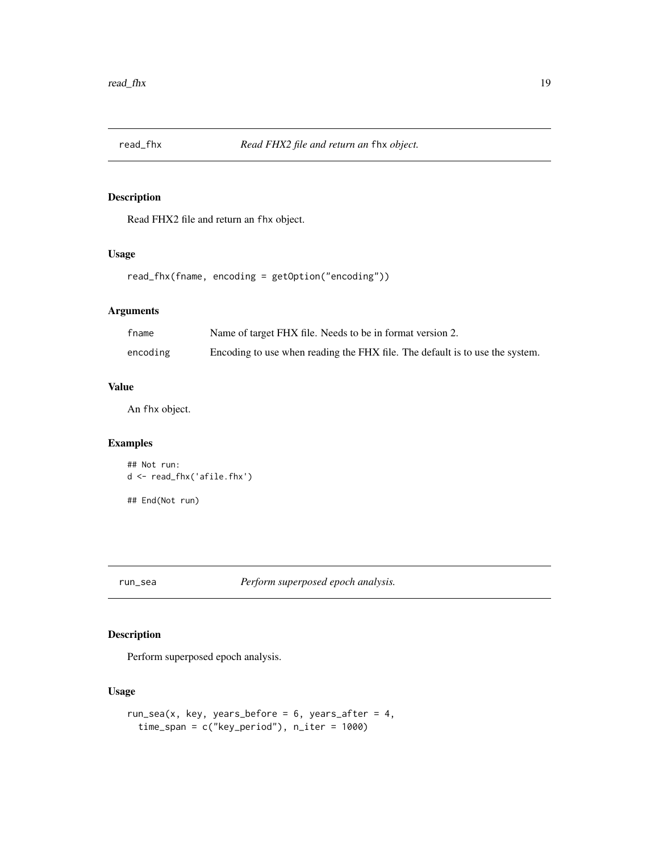<span id="page-18-0"></span>

Read FHX2 file and return an fhx object.

### Usage

read\_fhx(fname, encoding = getOption("encoding"))

# Arguments

| fname    | Name of target FHX file. Needs to be in format version 2.                    |
|----------|------------------------------------------------------------------------------|
| encoding | Encoding to use when reading the FHX file. The default is to use the system. |

### Value

An fhx object.

### Examples

```
## Not run:
d <- read_fhx('afile.fhx')
```
## End(Not run)

run\_sea *Perform superposed epoch analysis.*

### Description

Perform superposed epoch analysis.

### Usage

```
run_sea(x, key, years_before = 6, years_after = 4,
 time_span = c("key_period"), n_iter = 1000)
```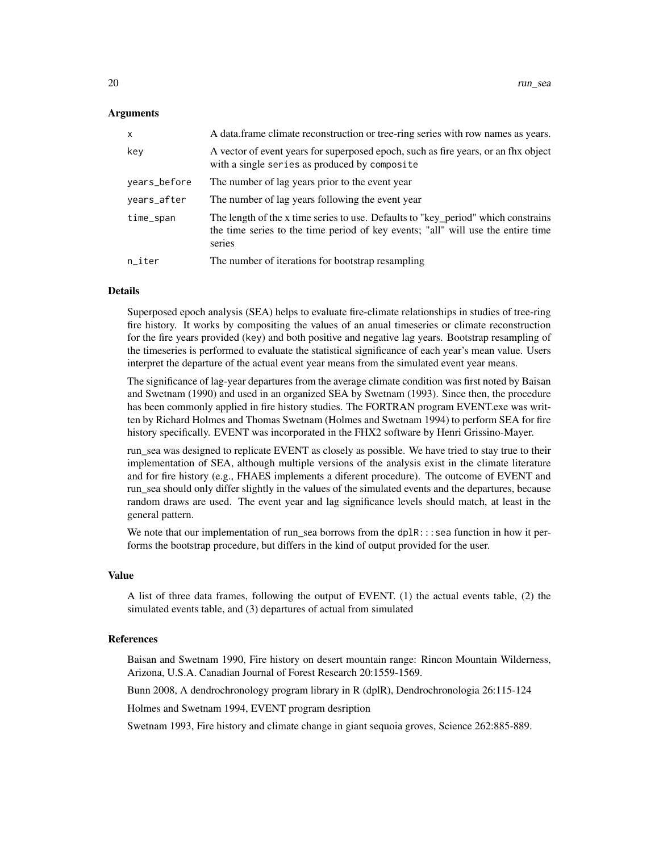#### Arguments

| X            | A data frame climate reconstruction or tree-ring series with row names as years.                                                                                                |
|--------------|---------------------------------------------------------------------------------------------------------------------------------------------------------------------------------|
| key          | A vector of event years for superposed epoch, such as fire years, or an fix object<br>with a single series as produced by composite                                             |
| years_before | The number of lag years prior to the event year                                                                                                                                 |
| years_after  | The number of lag years following the event year                                                                                                                                |
| time_span    | The length of the x time series to use. Defaults to "key_period" which constrains<br>the time series to the time period of key events; "all" will use the entire time<br>series |
| $n$ _iter    | The number of iterations for bootstrap resampling                                                                                                                               |

#### Details

Superposed epoch analysis (SEA) helps to evaluate fire-climate relationships in studies of tree-ring fire history. It works by compositing the values of an anual timeseries or climate reconstruction for the fire years provided (key) and both positive and negative lag years. Bootstrap resampling of the timeseries is performed to evaluate the statistical significance of each year's mean value. Users interpret the departure of the actual event year means from the simulated event year means.

The significance of lag-year departures from the average climate condition was first noted by Baisan and Swetnam (1990) and used in an organized SEA by Swetnam (1993). Since then, the procedure has been commonly applied in fire history studies. The FORTRAN program EVENT.exe was written by Richard Holmes and Thomas Swetnam (Holmes and Swetnam 1994) to perform SEA for fire history specifically. EVENT was incorporated in the FHX2 software by Henri Grissino-Mayer.

run\_sea was designed to replicate EVENT as closely as possible. We have tried to stay true to their implementation of SEA, although multiple versions of the analysis exist in the climate literature and for fire history (e.g., FHAES implements a diferent procedure). The outcome of EVENT and run\_sea should only differ slightly in the values of the simulated events and the departures, because random draws are used. The event year and lag significance levels should match, at least in the general pattern.

We note that our implementation of run\_sea borrows from the  $dp1R::$ : sea function in how it performs the bootstrap procedure, but differs in the kind of output provided for the user.

#### Value

A list of three data frames, following the output of EVENT. (1) the actual events table, (2) the simulated events table, and (3) departures of actual from simulated

#### References

Baisan and Swetnam 1990, Fire history on desert mountain range: Rincon Mountain Wilderness, Arizona, U.S.A. Canadian Journal of Forest Research 20:1559-1569.

Bunn 2008, A dendrochronology program library in R (dplR), Dendrochronologia 26:115-124

Holmes and Swetnam 1994, EVENT program desription

Swetnam 1993, Fire history and climate change in giant sequoia groves, Science 262:885-889.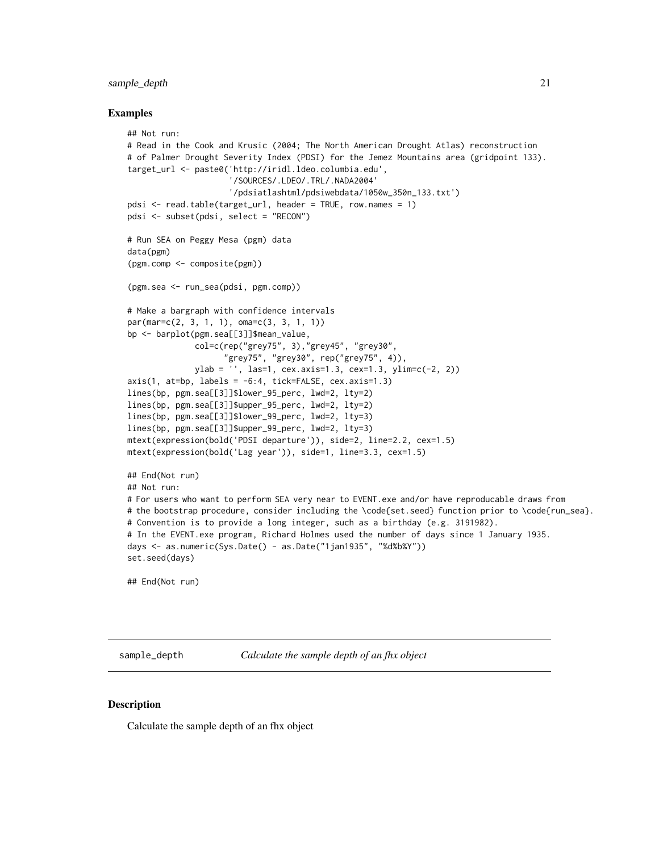### <span id="page-20-0"></span>sample\_depth 21

#### Examples

```
## Not run:
# Read in the Cook and Krusic (2004; The North American Drought Atlas) reconstruction
# of Palmer Drought Severity Index (PDSI) for the Jemez Mountains area (gridpoint 133).
target_url <- paste0('http://iridl.ldeo.columbia.edu',
                     '/SOURCES/.LDEO/.TRL/.NADA2004'
                     '/pdsiatlashtml/pdsiwebdata/1050w_350n_133.txt')
pdsi <- read.table(target_url, header = TRUE, row.names = 1)
pdsi <- subset(pdsi, select = "RECON")
# Run SEA on Peggy Mesa (pgm) data
data(pgm)
(pgm.comp <- composite(pgm))
(pgm.sea <- run_sea(pdsi, pgm.comp))
# Make a bargraph with confidence intervals
par(mar=c(2, 3, 1, 1), oma=c(3, 3, 1, 1))
bp <- barplot(pgm.sea[[3]]$mean_value,
              col=c(rep("grey75", 3),"grey45", "grey30",
                     "grey75", "grey30", rep("grey75", 4)),
              ylab = '', las=1, cex.axis=1.3, cex=1.3, ylim=c(-2, 2))
axis(1, at=bp, labels = -6:4, tick=FALSE, cex.axis=1.3)lines(bp, pgm.sea[[3]]$lower_95_perc, lwd=2, lty=2)
lines(bp, pgm.sea[[3]]$upper_95_perc, lwd=2, lty=2)
lines(bp, pgm.sea[[3]]$lower_99_perc, lwd=2, lty=3)
lines(bp, pgm.sea[[3]]$upper_99_perc, lwd=2, lty=3)
mtext(expression(bold('PDSI departure')), side=2, line=2.2, cex=1.5)
mtext(expression(bold('Lag year')), side=1, line=3.3, cex=1.5)
## End(Not run)
## Not run:
# For users who want to perform SEA very near to EVENT.exe and/or have reproducable draws from
# the bootstrap procedure, consider including the \code{set.seed} function prior to \code{run_sea}.
# Convention is to provide a long integer, such as a birthday (e.g. 3191982).
# In the EVENT.exe program, Richard Holmes used the number of days since 1 January 1935.
days <- as.numeric(Sys.Date() - as.Date("1jan1935", "%d%b%Y"))
set.seed(days)
## End(Not run)
```
sample\_depth *Calculate the sample depth of an fhx object*

# **Description**

Calculate the sample depth of an fhx object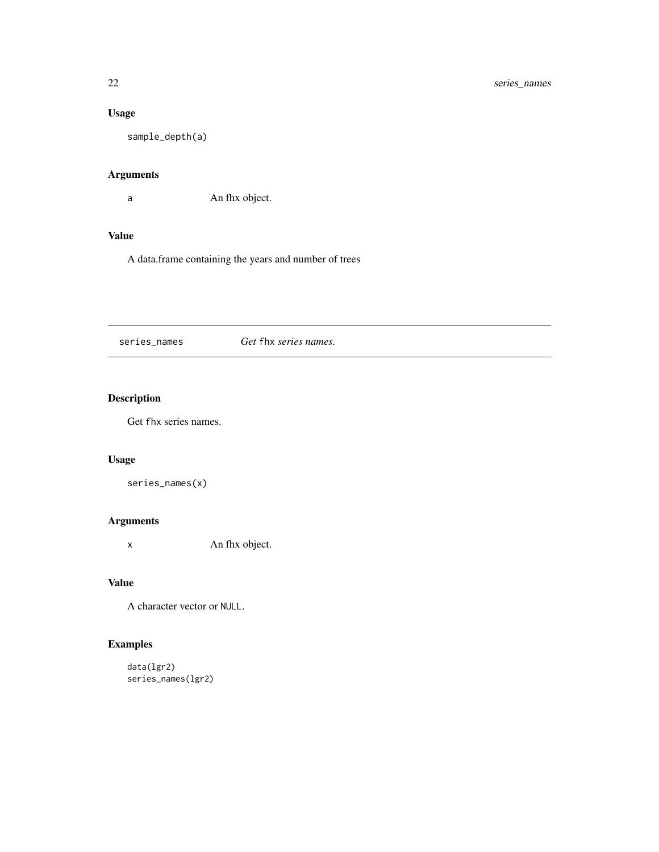# <span id="page-21-0"></span>Usage

sample\_depth(a)

### Arguments

a An fhx object.

### Value

A data.frame containing the years and number of trees

series\_names *Get* fhx *series names.*

# Description

Get fhx series names.

### Usage

```
series_names(x)
```
# Arguments

x An fhx object.

### Value

A character vector or NULL.

```
data(lgr2)
series_names(lgr2)
```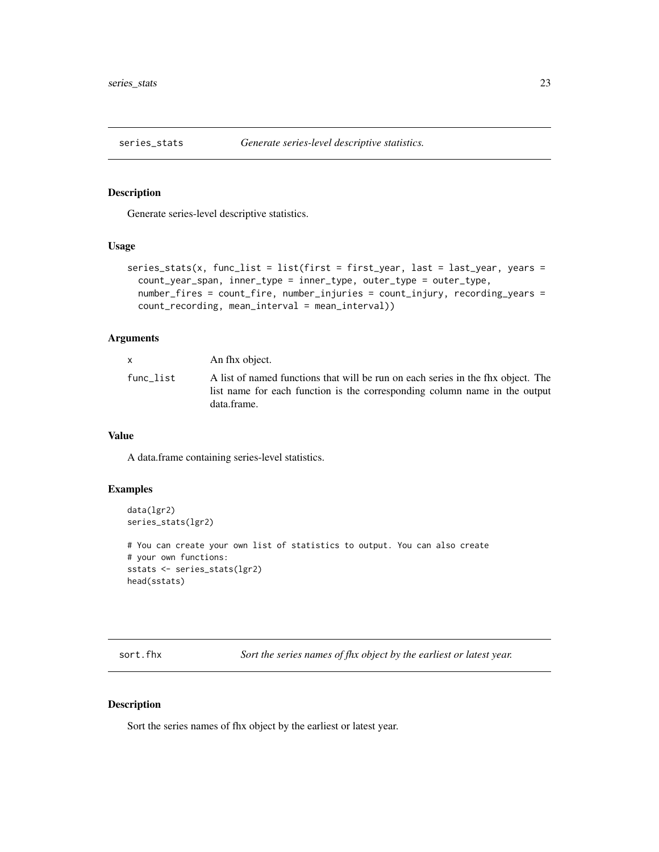<span id="page-22-0"></span>

Generate series-level descriptive statistics.

### Usage

```
series_stats(x, func_list = list(first = first_year, last = last_year, years =
  count_year_span, inner_type = inner_type, outer_type = outer_type,
  number_fires = count_fire, number_injuries = count_injury, recording_years =
  count_recording, mean_interval = mean_interval))
```
### Arguments

|           | An fhx object.                                                                                                                                                                |
|-----------|-------------------------------------------------------------------------------------------------------------------------------------------------------------------------------|
| func list | A list of named functions that will be run on each series in the fix object. The<br>list name for each function is the corresponding column name in the output<br>data.frame. |

### Value

A data.frame containing series-level statistics.

### Examples

```
data(lgr2)
series_stats(lgr2)
```

```
# You can create your own list of statistics to output. You can also create
# your own functions:
sstats <- series_stats(lgr2)
head(sstats)
```
sort.fhx *Sort the series names of fhx object by the earliest or latest year.*

### Description

Sort the series names of fhx object by the earliest or latest year.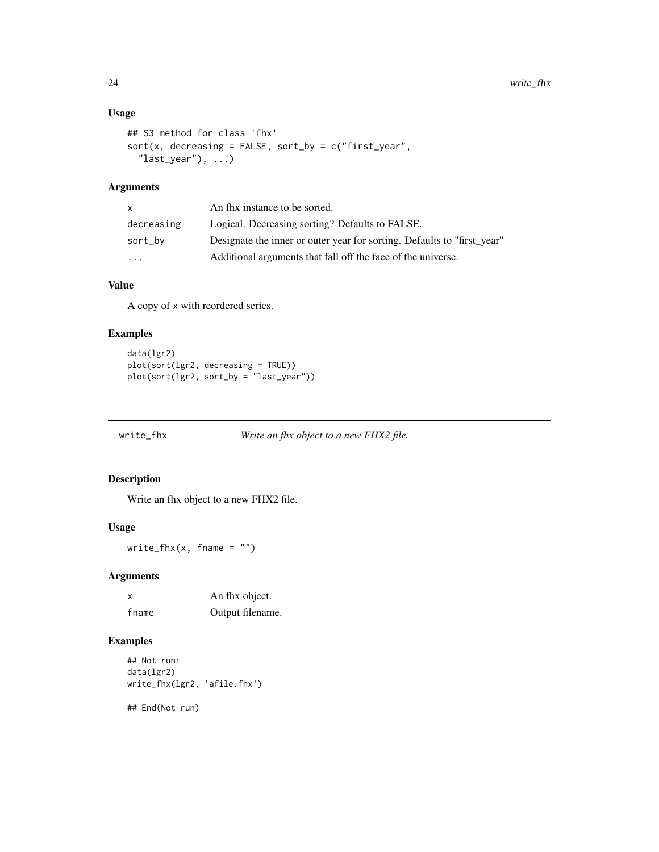### <span id="page-23-0"></span>Usage

```
## S3 method for class 'fhx'
sort(x, decreasing = FALSE, sort_by = c("first\_year","last_year"), ...)
```
### Arguments

| $\mathsf{X}$            | An fhx instance to be sorted.                                           |
|-------------------------|-------------------------------------------------------------------------|
| decreasing              | Logical. Decreasing sorting? Defaults to FALSE.                         |
| sort_by                 | Designate the inner or outer year for sorting. Defaults to "first_year" |
| $\cdot$ $\cdot$ $\cdot$ | Additional arguments that fall off the face of the universe.            |

# Value

A copy of x with reordered series.

### Examples

```
data(lgr2)
plot(sort(lgr2, decreasing = TRUE))
plot(sort(lgr2, sort_by = "last_year"))
```

```
write_fhx Write an fhx object to a new FHX2 file.
```
### Description

Write an fhx object to a new FHX2 file.

### Usage

write\_fhx(x, fname =  $"$ )

### Arguments

| $\boldsymbol{\mathsf{x}}$ | An fhx object.   |
|---------------------------|------------------|
| fname                     | Output filename. |

### Examples

```
## Not run:
data(lgr2)
write_fhx(lgr2, 'afile.fhx')
```
## End(Not run)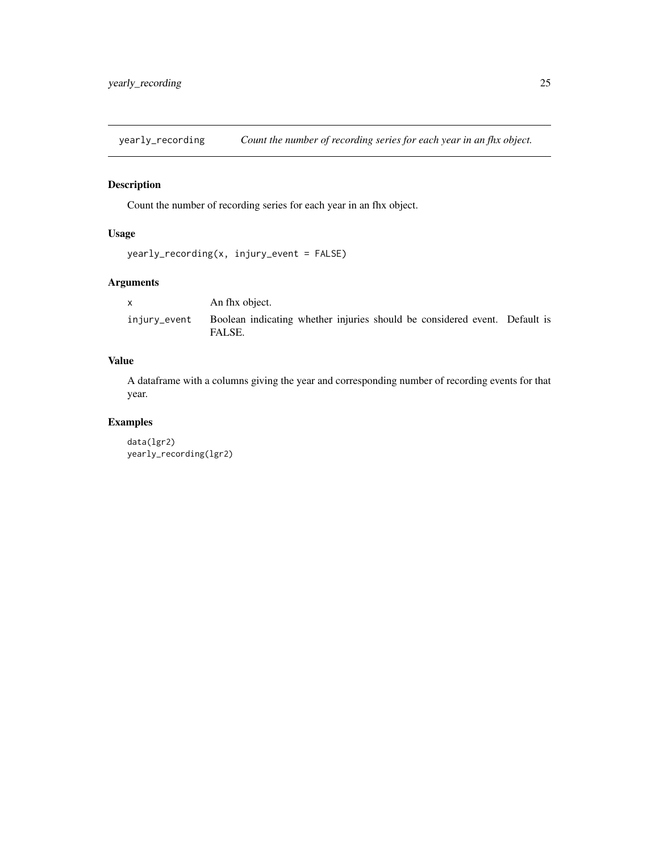<span id="page-24-0"></span>yearly\_recording *Count the number of recording series for each year in an fhx object.*

### Description

Count the number of recording series for each year in an fhx object.

# Usage

```
yearly_recording(x, injury_event = FALSE)
```
# Arguments

|              | An fhx object.                                                                       |  |
|--------------|--------------------------------------------------------------------------------------|--|
| injury_event | Boolean indicating whether injuries should be considered event. Default is<br>FALSE. |  |

# Value

A dataframe with a columns giving the year and corresponding number of recording events for that year.

```
data(lgr2)
yearly_recording(lgr2)
```